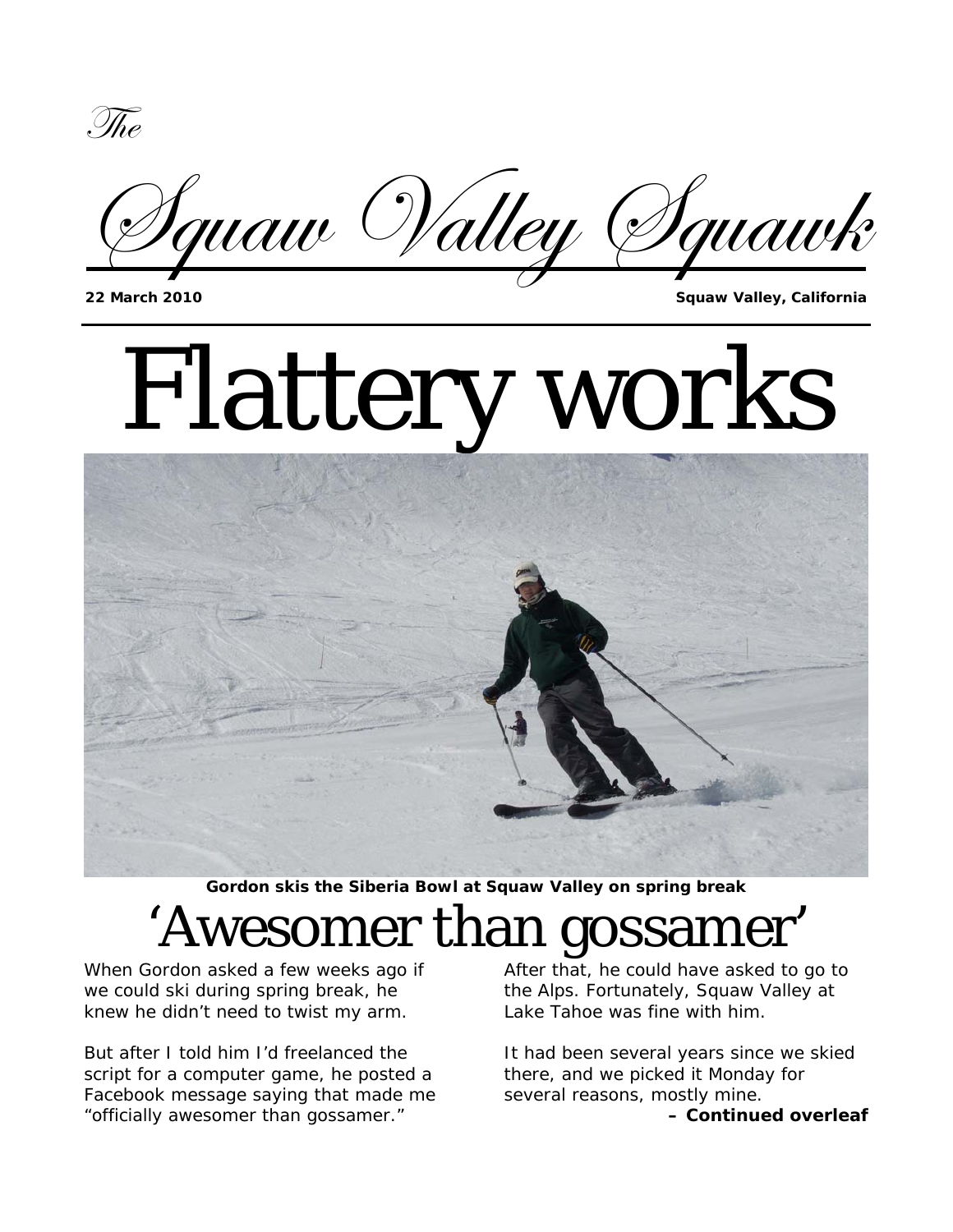g{x



**22 March 2010 Squaw Valley, California**

# Flattery works



**Gordon skis the Siberia Bowl at Squaw Valley on spring break** 

# 'Awesomer than gossamer'

When Gordon asked a few weeks ago if we could ski during spring break, he knew he didn't need to twist my arm.

But after I told him I'd freelanced the script for a computer game, he posted a Facebook message saying that made me "officially awesomer than gossamer."

After that, he could have asked to go to the Alps. Fortunately, Squaw Valley at Lake Tahoe was fine with him.

It had been several years since we skied there, and we picked it Monday for several reasons, mostly mine. *– Continued overleaf*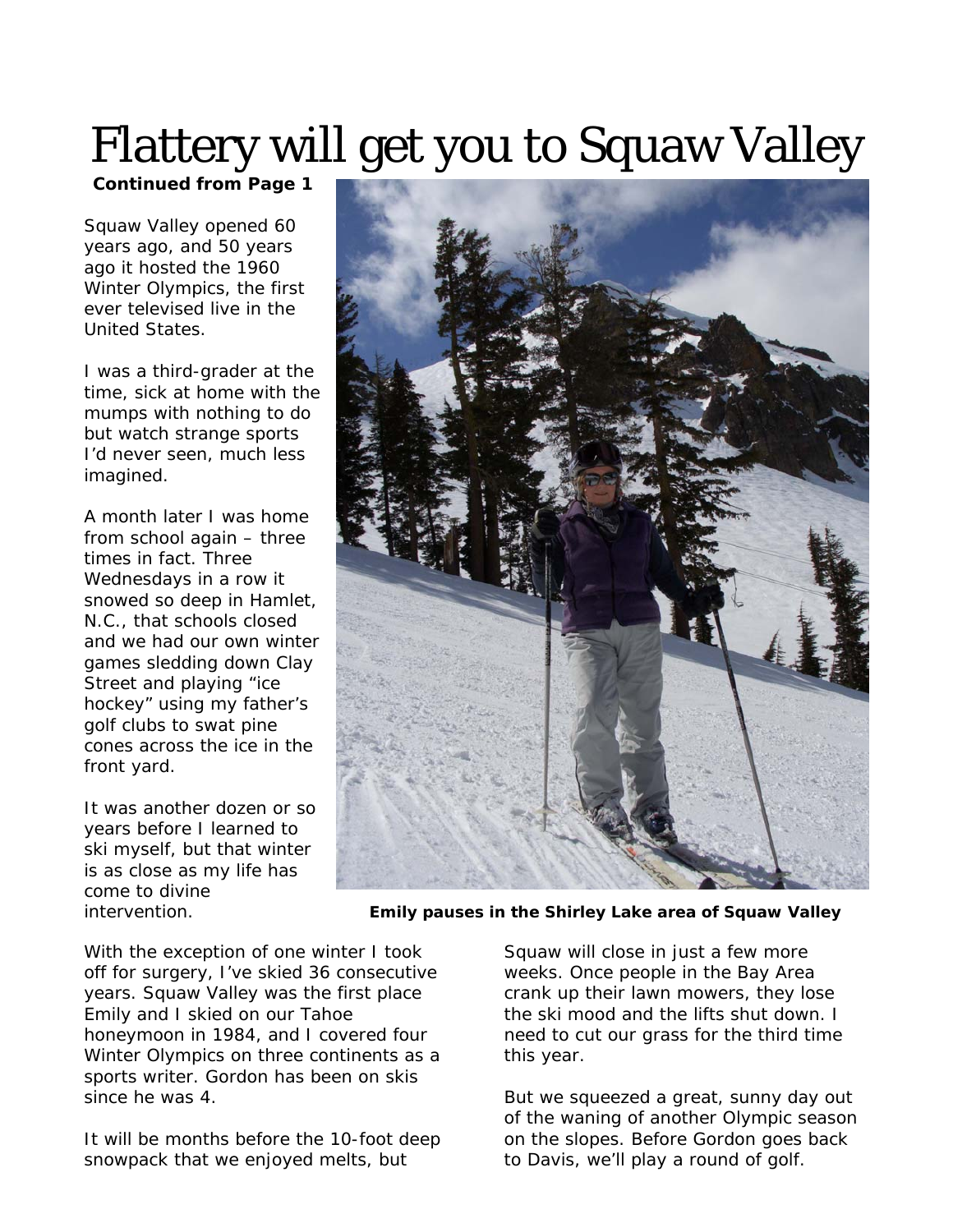### Flattery will get you to Squaw Valley

*Continued from Page 1* 

Squaw Valley opened 60 years ago, and 50 years ago it hosted the 1960 Winter Olympics, the first ever televised live in the United States.

I was a third-grader at the time, sick at home with the mumps with nothing to do but watch strange sports I'd never seen, much less imagined.

A month later I was home from school again – three times in fact. Three Wednesdays in a row it snowed so deep in Hamlet, N.C., that schools closed and we had our own winter games sledding down Clay Street and playing "ice hockey" using my father's golf clubs to swat pine cones across the ice in the front yard.

It was another dozen or so years before I learned to ski myself, but that winter is as close as my life has come to divine



intervention. **Emily pauses in the Shirley Lake area of Squaw Valley** 

With the exception of one winter I took off for surgery, I've skied 36 consecutive years. Squaw Valley was the first place Emily and I skied on our Tahoe honeymoon in 1984, and I covered four Winter Olympics on three continents as a sports writer. Gordon has been on skis since he was 4.

It will be months before the 10-foot deep snowpack that we enjoyed melts, but

Squaw will close in just a few more weeks. Once people in the Bay Area crank up their lawn mowers, they lose the ski mood and the lifts shut down. I need to cut our grass for the third time this year.

But we squeezed a great, sunny day out of the waning of another Olympic season on the slopes. Before Gordon goes back to Davis, we'll play a round of golf.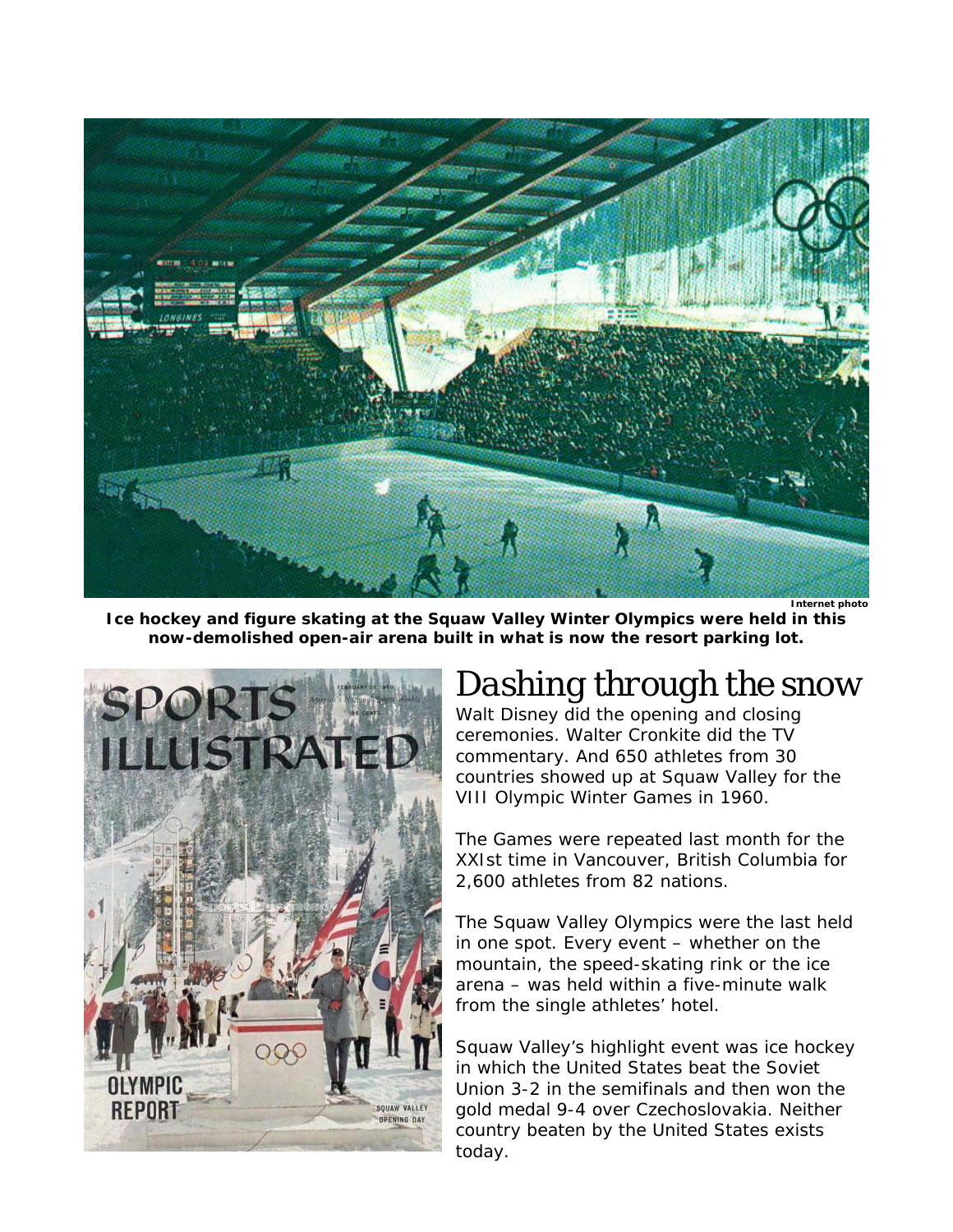

**Ice hockey and figure skating at the Squaw Valley Winter Olympics were held in this now-demolished open-air arena built in what is now the resort parking lot.** 



#### *Dashing through the snow*

Walt Disney did the opening and closing ceremonies. Walter Cronkite did the TV commentary. And 650 athletes from 30 countries showed up at Squaw Valley for the VIII Olympic Winter Games in 1960.

The Games were repeated last month for the XXIst time in Vancouver, British Columbia for 2,600 athletes from 82 nations.

The Squaw Valley Olympics were the last held in one spot. Every event – whether on the mountain, the speed-skating rink or the ice arena – was held within a five-minute walk from the single athletes' hotel.

Squaw Valley's highlight event was ice hockey in which the United States beat the Soviet Union 3-2 in the semifinals and then won the gold medal 9-4 over Czechoslovakia. Neither country beaten by the United States exists today.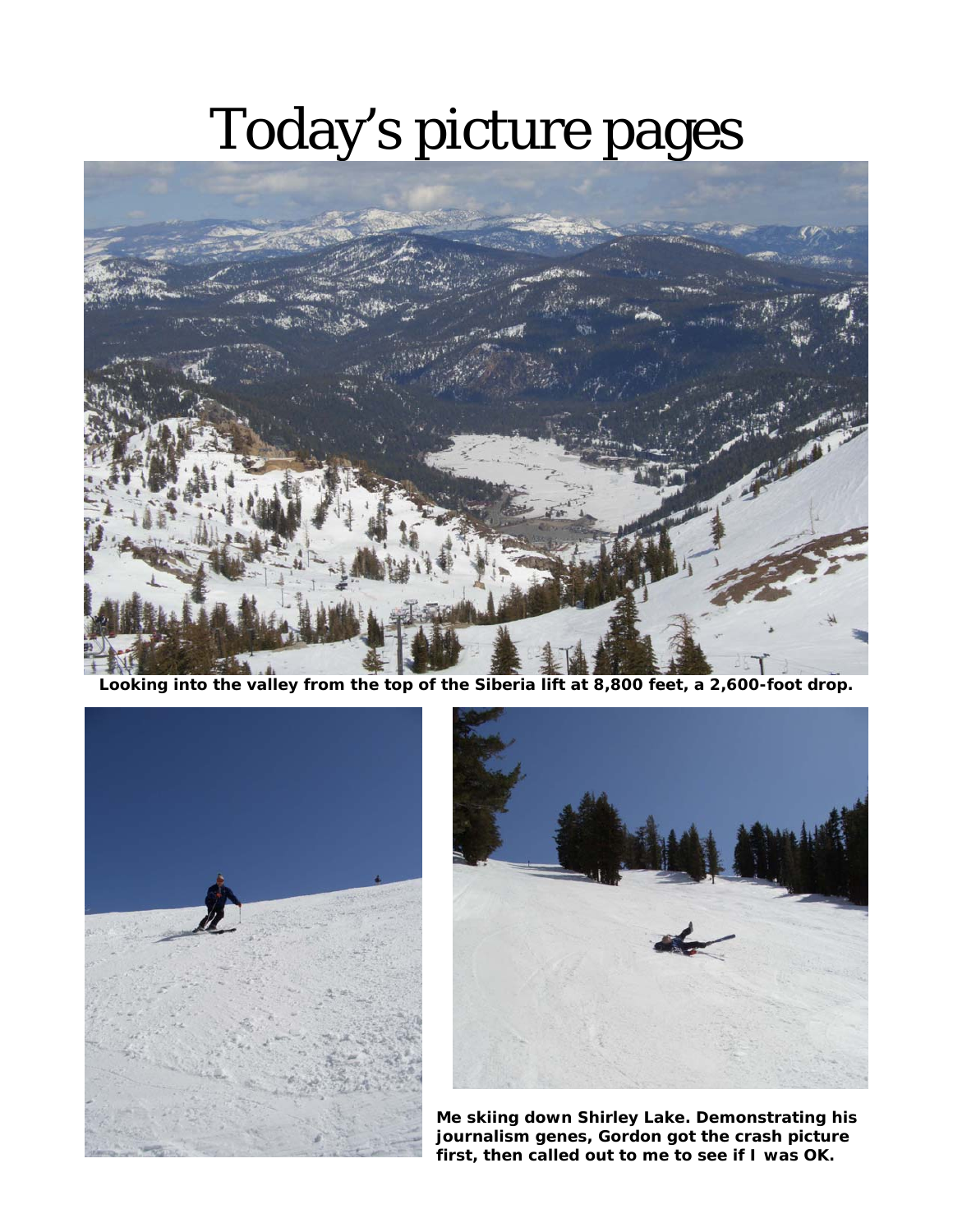## Today's picture pages



**Looking into the valley from the top of the Siberia lift at 8,800 feet, a 2,600-foot drop.** 





**Me skiing down Shirley Lake. Demonstrating his journalism genes, Gordon got the crash picture first, then called out to me to see if I was OK.**